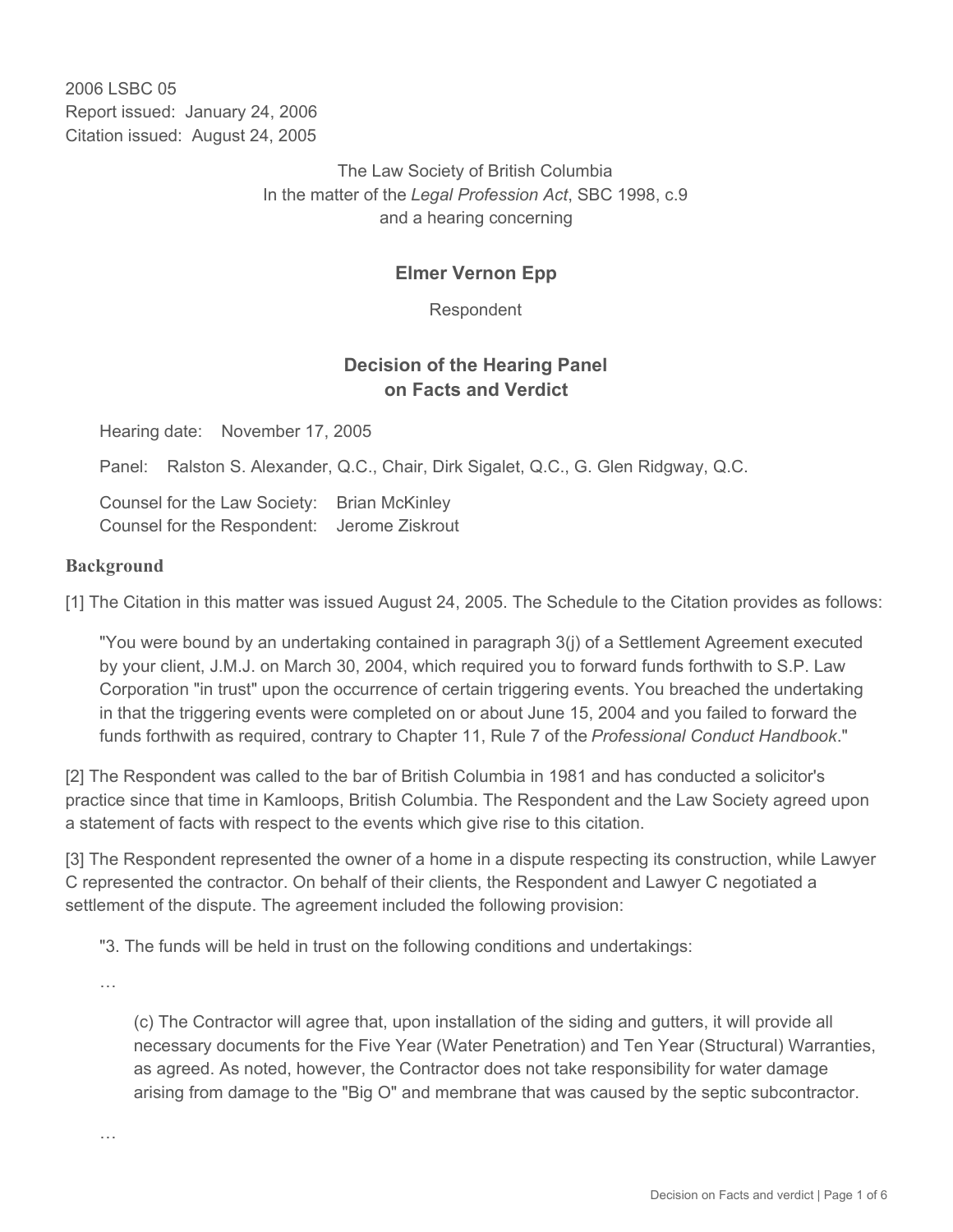2006 LSBC 05 Report issued: January 24, 2006 Citation issued: August 24, 2005

> The Law Society of British Columbia In the matter of the *Legal Profession Act*, SBC 1998, c.9 and a hearing concerning

### **Elmer Vernon Epp**

Respondent

### **Decision of the Hearing Panel on Facts and Verdict**

Hearing date: November 17, 2005

Panel: Ralston S. Alexander, Q.C., Chair, Dirk Sigalet, Q.C., G. Glen Ridgway, Q.C.

Counsel for the Law Society: Brian McKinley Counsel for the Respondent: Jerome Ziskrout

#### **Background**

[1] The Citation in this matter was issued August 24, 2005. The Schedule to the Citation provides as follows:

"You were bound by an undertaking contained in paragraph 3(j) of a Settlement Agreement executed by your client, J.M.J. on March 30, 2004, which required you to forward funds forthwith to S.P. Law Corporation "in trust" upon the occurrence of certain triggering events. You breached the undertaking in that the triggering events were completed on or about June 15, 2004 and you failed to forward the funds forthwith as required, contrary to Chapter 11, Rule 7 of the *Professional Conduct Handbook*."

[2] The Respondent was called to the bar of British Columbia in 1981 and has conducted a solicitor's practice since that time in Kamloops, British Columbia. The Respondent and the Law Society agreed upon a statement of facts with respect to the events which give rise to this citation.

[3] The Respondent represented the owner of a home in a dispute respecting its construction, while Lawyer C represented the contractor. On behalf of their clients, the Respondent and Lawyer C negotiated a settlement of the dispute. The agreement included the following provision:

"3. The funds will be held in trust on the following conditions and undertakings:

…

…

(c) The Contractor will agree that, upon installation of the siding and gutters, it will provide all necessary documents for the Five Year (Water Penetration) and Ten Year (Structural) Warranties, as agreed. As noted, however, the Contractor does not take responsibility for water damage arising from damage to the "Big O" and membrane that was caused by the septic subcontractor.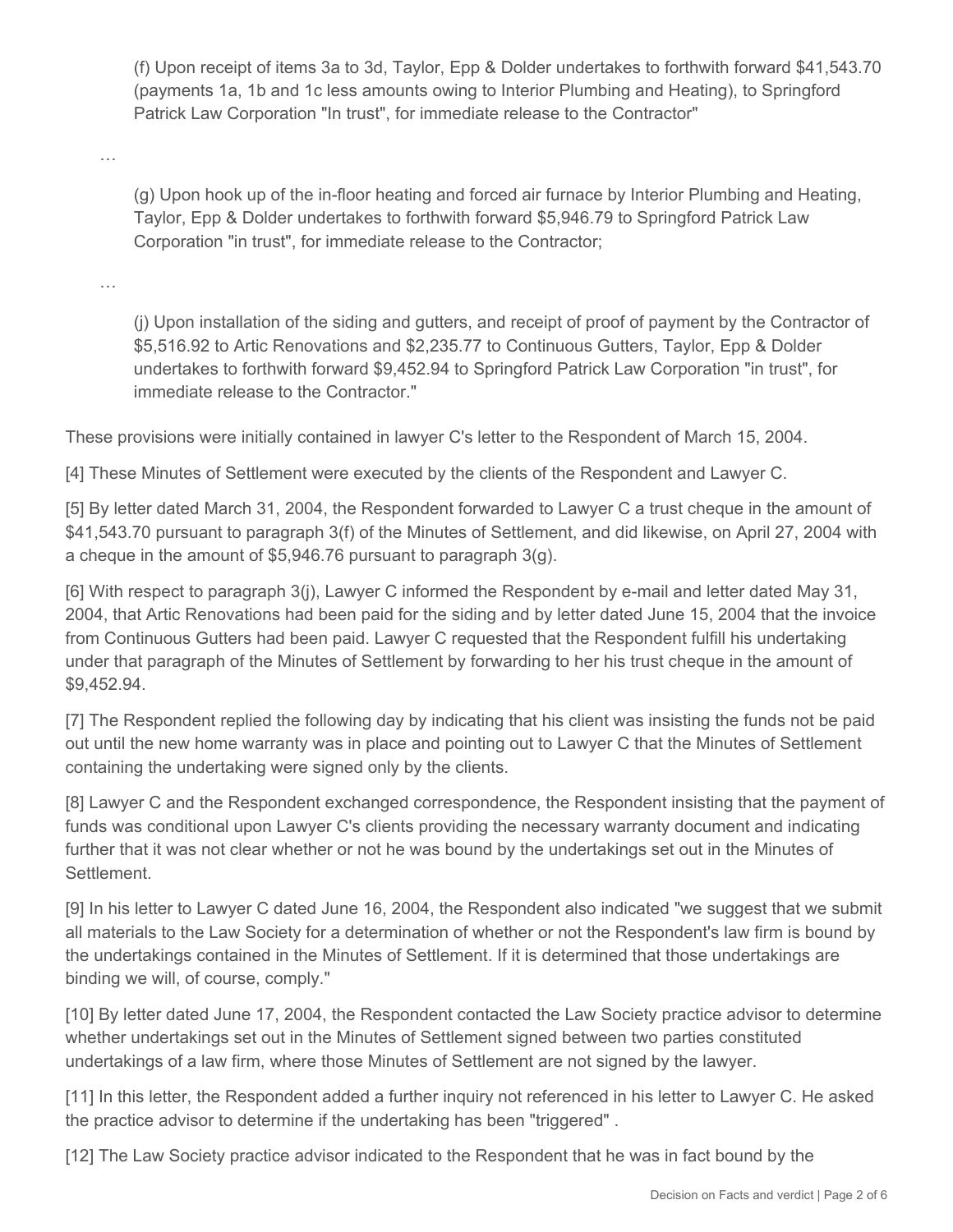(f) Upon receipt of items 3a to 3d, Taylor, Epp & Dolder undertakes to forthwith forward \$41,543.70 (payments 1a, 1b and 1c less amounts owing to Interior Plumbing and Heating), to Springford Patrick Law Corporation "In trust", for immediate release to the Contractor"

…

(g) Upon hook up of the in-floor heating and forced air furnace by Interior Plumbing and Heating, Taylor, Epp & Dolder undertakes to forthwith forward \$5,946.79 to Springford Patrick Law Corporation "in trust", for immediate release to the Contractor;

…

(j) Upon installation of the siding and gutters, and receipt of proof of payment by the Contractor of \$5,516.92 to Artic Renovations and \$2,235.77 to Continuous Gutters, Taylor, Epp & Dolder undertakes to forthwith forward \$9,452.94 to Springford Patrick Law Corporation "in trust", for immediate release to the Contractor."

These provisions were initially contained in lawyer C's letter to the Respondent of March 15, 2004.

[4] These Minutes of Settlement were executed by the clients of the Respondent and Lawyer C.

[5] By letter dated March 31, 2004, the Respondent forwarded to Lawyer C a trust cheque in the amount of \$41,543.70 pursuant to paragraph 3(f) of the Minutes of Settlement, and did likewise, on April 27, 2004 with a cheque in the amount of \$5,946.76 pursuant to paragraph 3(g).

[6] With respect to paragraph 3(j), Lawyer C informed the Respondent by e-mail and letter dated May 31, 2004, that Artic Renovations had been paid for the siding and by letter dated June 15, 2004 that the invoice from Continuous Gutters had been paid. Lawyer C requested that the Respondent fulfill his undertaking under that paragraph of the Minutes of Settlement by forwarding to her his trust cheque in the amount of \$9,452.94.

[7] The Respondent replied the following day by indicating that his client was insisting the funds not be paid out until the new home warranty was in place and pointing out to Lawyer C that the Minutes of Settlement containing the undertaking were signed only by the clients.

[8] Lawyer C and the Respondent exchanged correspondence, the Respondent insisting that the payment of funds was conditional upon Lawyer C's clients providing the necessary warranty document and indicating further that it was not clear whether or not he was bound by the undertakings set out in the Minutes of Settlement.

[9] In his letter to Lawyer C dated June 16, 2004, the Respondent also indicated "we suggest that we submit all materials to the Law Society for a determination of whether or not the Respondent's law firm is bound by the undertakings contained in the Minutes of Settlement. If it is determined that those undertakings are binding we will, of course, comply."

[10] By letter dated June 17, 2004, the Respondent contacted the Law Society practice advisor to determine whether undertakings set out in the Minutes of Settlement signed between two parties constituted undertakings of a law firm, where those Minutes of Settlement are not signed by the lawyer.

[11] In this letter, the Respondent added a further inquiry not referenced in his letter to Lawyer C. He asked the practice advisor to determine if the undertaking has been "triggered" .

[12] The Law Society practice advisor indicated to the Respondent that he was in fact bound by the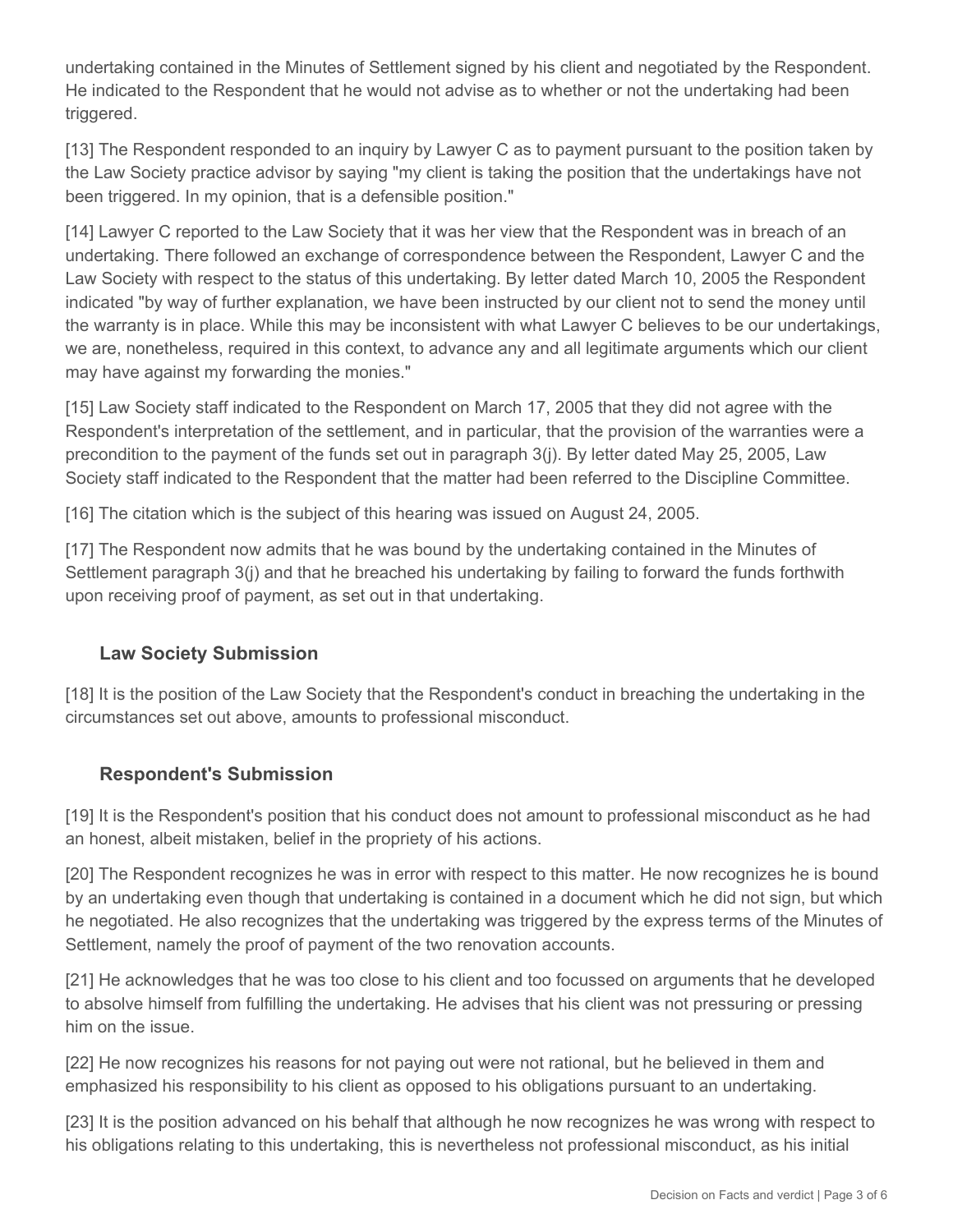undertaking contained in the Minutes of Settlement signed by his client and negotiated by the Respondent. He indicated to the Respondent that he would not advise as to whether or not the undertaking had been triggered.

[13] The Respondent responded to an inquiry by Lawyer C as to payment pursuant to the position taken by the Law Society practice advisor by saying "my client is taking the position that the undertakings have not been triggered. In my opinion, that is a defensible position."

[14] Lawyer C reported to the Law Society that it was her view that the Respondent was in breach of an undertaking. There followed an exchange of correspondence between the Respondent, Lawyer C and the Law Society with respect to the status of this undertaking. By letter dated March 10, 2005 the Respondent indicated "by way of further explanation, we have been instructed by our client not to send the money until the warranty is in place. While this may be inconsistent with what Lawyer C believes to be our undertakings, we are, nonetheless, required in this context, to advance any and all legitimate arguments which our client may have against my forwarding the monies."

[15] Law Society staff indicated to the Respondent on March 17, 2005 that they did not agree with the Respondent's interpretation of the settlement, and in particular, that the provision of the warranties were a precondition to the payment of the funds set out in paragraph 3(j). By letter dated May 25, 2005, Law Society staff indicated to the Respondent that the matter had been referred to the Discipline Committee.

[16] The citation which is the subject of this hearing was issued on August 24, 2005.

[17] The Respondent now admits that he was bound by the undertaking contained in the Minutes of Settlement paragraph 3(j) and that he breached his undertaking by failing to forward the funds forthwith upon receiving proof of payment, as set out in that undertaking.

#### **Law Society Submission**

[18] It is the position of the Law Society that the Respondent's conduct in breaching the undertaking in the circumstances set out above, amounts to professional misconduct.

## **Respondent's Submission**

[19] It is the Respondent's position that his conduct does not amount to professional misconduct as he had an honest, albeit mistaken, belief in the propriety of his actions.

[20] The Respondent recognizes he was in error with respect to this matter. He now recognizes he is bound by an undertaking even though that undertaking is contained in a document which he did not sign, but which he negotiated. He also recognizes that the undertaking was triggered by the express terms of the Minutes of Settlement, namely the proof of payment of the two renovation accounts.

[21] He acknowledges that he was too close to his client and too focussed on arguments that he developed to absolve himself from fulfilling the undertaking. He advises that his client was not pressuring or pressing him on the issue.

[22] He now recognizes his reasons for not paying out were not rational, but he believed in them and emphasized his responsibility to his client as opposed to his obligations pursuant to an undertaking.

[23] It is the position advanced on his behalf that although he now recognizes he was wrong with respect to his obligations relating to this undertaking, this is nevertheless not professional misconduct, as his initial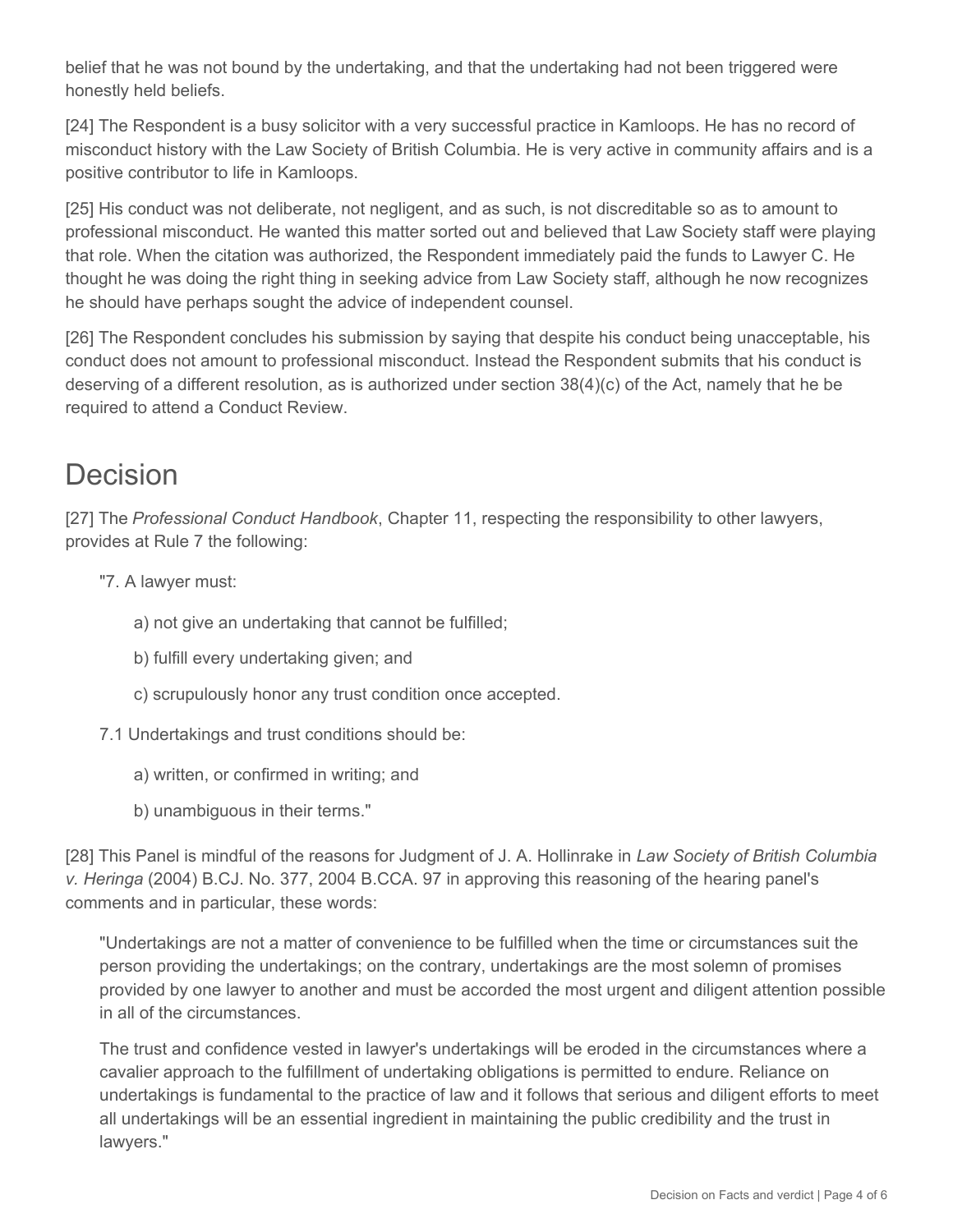belief that he was not bound by the undertaking, and that the undertaking had not been triggered were honestly held beliefs.

[24] The Respondent is a busy solicitor with a very successful practice in Kamloops. He has no record of misconduct history with the Law Society of British Columbia. He is very active in community affairs and is a positive contributor to life in Kamloops.

[25] His conduct was not deliberate, not negligent, and as such, is not discreditable so as to amount to professional misconduct. He wanted this matter sorted out and believed that Law Society staff were playing that role. When the citation was authorized, the Respondent immediately paid the funds to Lawyer C. He thought he was doing the right thing in seeking advice from Law Society staff, although he now recognizes he should have perhaps sought the advice of independent counsel.

[26] The Respondent concludes his submission by saying that despite his conduct being unacceptable, his conduct does not amount to professional misconduct. Instead the Respondent submits that his conduct is deserving of a different resolution, as is authorized under section 38(4)(c) of the Act, namely that he be required to attend a Conduct Review.

# Decision

[27] The *Professional Conduct Handbook*, Chapter 11, respecting the responsibility to other lawyers, provides at Rule 7 the following:

- "7. A lawyer must:
	- a) not give an undertaking that cannot be fulfilled;
	- b) fulfill every undertaking given; and
	- c) scrupulously honor any trust condition once accepted.
- 7.1 Undertakings and trust conditions should be:
	- a) written, or confirmed in writing; and
	- b) unambiguous in their terms."

[28] This Panel is mindful of the reasons for Judgment of J. A. Hollinrake in *Law Society of British Columbia v. Heringa* (2004) B.CJ. No. 377, 2004 B.CCA. 97 in approving this reasoning of the hearing panel's comments and in particular, these words:

"Undertakings are not a matter of convenience to be fulfilled when the time or circumstances suit the person providing the undertakings; on the contrary, undertakings are the most solemn of promises provided by one lawyer to another and must be accorded the most urgent and diligent attention possible in all of the circumstances.

The trust and confidence vested in lawyer's undertakings will be eroded in the circumstances where a cavalier approach to the fulfillment of undertaking obligations is permitted to endure. Reliance on undertakings is fundamental to the practice of law and it follows that serious and diligent efforts to meet all undertakings will be an essential ingredient in maintaining the public credibility and the trust in lawyers."